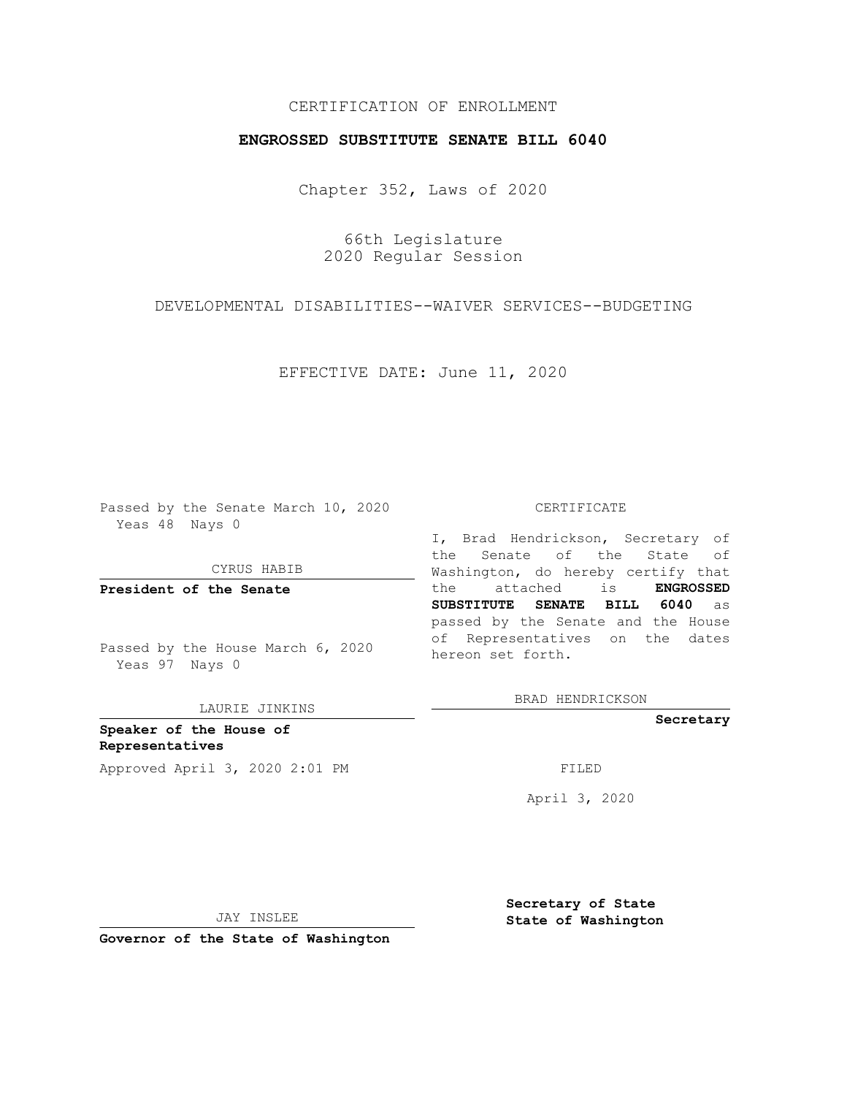## CERTIFICATION OF ENROLLMENT

## **ENGROSSED SUBSTITUTE SENATE BILL 6040**

Chapter 352, Laws of 2020

66th Legislature 2020 Regular Session

DEVELOPMENTAL DISABILITIES--WAIVER SERVICES--BUDGETING

EFFECTIVE DATE: June 11, 2020

Passed by the Senate March 10, 2020 Yeas 48 Nays 0

CYRUS HABIB

**President of the Senate**

Passed by the House March 6, 2020 Yeas 97 Nays 0

LAURIE JINKINS

**Speaker of the House of Representatives** Approved April 3, 2020 2:01 PM

#### CERTIFICATE

I, Brad Hendrickson, Secretary of the Senate of the State of Washington, do hereby certify that the attached is **ENGROSSED SUBSTITUTE SENATE BILL 6040** as passed by the Senate and the House of Representatives on the dates hereon set forth.

BRAD HENDRICKSON

**Secretary**

April 3, 2020

JAY INSLEE

**Secretary of State State of Washington**

**Governor of the State of Washington**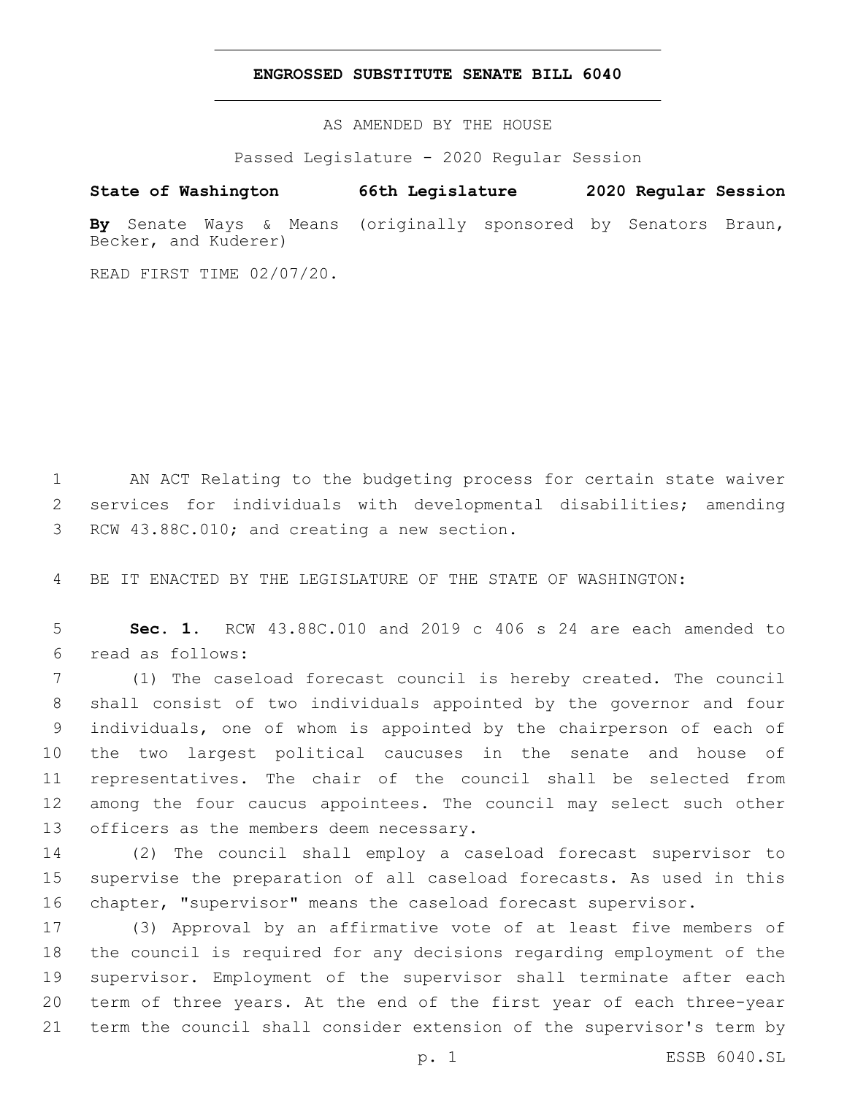### **ENGROSSED SUBSTITUTE SENATE BILL 6040**

AS AMENDED BY THE HOUSE

Passed Legislature - 2020 Regular Session

# **State of Washington 66th Legislature 2020 Regular Session**

**By** Senate Ways & Means (originally sponsored by Senators Braun, Becker, and Kuderer)

READ FIRST TIME 02/07/20.

 AN ACT Relating to the budgeting process for certain state waiver services for individuals with developmental disabilities; amending 3 RCW 43.88C.010; and creating a new section.

BE IT ENACTED BY THE LEGISLATURE OF THE STATE OF WASHINGTON:

 **Sec. 1.** RCW 43.88C.010 and 2019 c 406 s 24 are each amended to read as follows:6

 (1) The caseload forecast council is hereby created. The council shall consist of two individuals appointed by the governor and four individuals, one of whom is appointed by the chairperson of each of the two largest political caucuses in the senate and house of representatives. The chair of the council shall be selected from among the four caucus appointees. The council may select such other 13 officers as the members deem necessary.

 (2) The council shall employ a caseload forecast supervisor to supervise the preparation of all caseload forecasts. As used in this chapter, "supervisor" means the caseload forecast supervisor.

 (3) Approval by an affirmative vote of at least five members of the council is required for any decisions regarding employment of the supervisor. Employment of the supervisor shall terminate after each term of three years. At the end of the first year of each three-year term the council shall consider extension of the supervisor's term by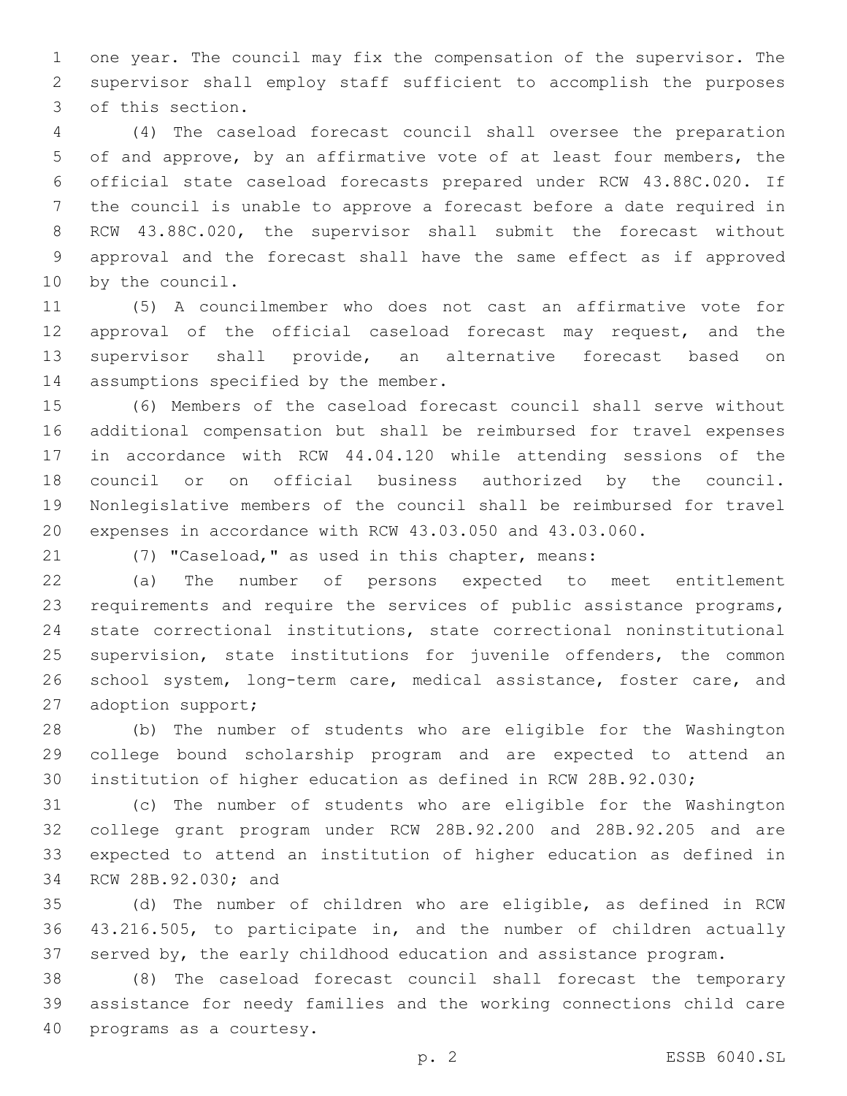one year. The council may fix the compensation of the supervisor. The supervisor shall employ staff sufficient to accomplish the purposes 3 of this section.

 (4) The caseload forecast council shall oversee the preparation of and approve, by an affirmative vote of at least four members, the official state caseload forecasts prepared under RCW 43.88C.020. If the council is unable to approve a forecast before a date required in RCW 43.88C.020, the supervisor shall submit the forecast without approval and the forecast shall have the same effect as if approved 10 by the council.

 (5) A councilmember who does not cast an affirmative vote for approval of the official caseload forecast may request, and the supervisor shall provide, an alternative forecast based on 14 assumptions specified by the member.

 (6) Members of the caseload forecast council shall serve without additional compensation but shall be reimbursed for travel expenses in accordance with RCW 44.04.120 while attending sessions of the council or on official business authorized by the council. Nonlegislative members of the council shall be reimbursed for travel expenses in accordance with RCW 43.03.050 and 43.03.060.

(7) "Caseload," as used in this chapter, means:

 (a) The number of persons expected to meet entitlement requirements and require the services of public assistance programs, state correctional institutions, state correctional noninstitutional 25 supervision, state institutions for juvenile offenders, the common 26 school system, long-term care, medical assistance, foster care, and 27 adoption support;

 (b) The number of students who are eligible for the Washington college bound scholarship program and are expected to attend an institution of higher education as defined in RCW 28B.92.030;

 (c) The number of students who are eligible for the Washington college grant program under RCW 28B.92.200 and 28B.92.205 and are expected to attend an institution of higher education as defined in 34 RCW 28B.92.030; and

 (d) The number of children who are eligible, as defined in RCW 43.216.505, to participate in, and the number of children actually served by, the early childhood education and assistance program.

 (8) The caseload forecast council shall forecast the temporary assistance for needy families and the working connections child care 40 programs as a courtesy.